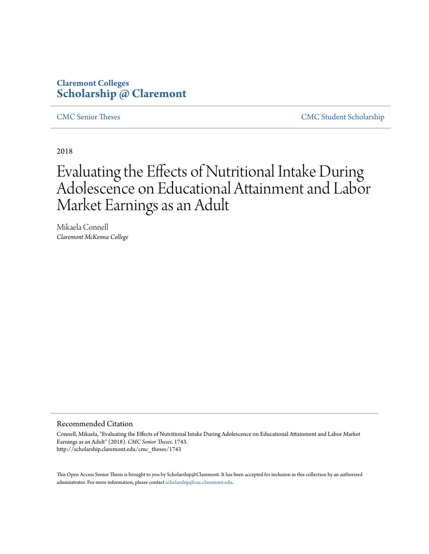# **Claremont Colleges [Scholarship @ Claremont](http://scholarship.claremont.edu)**

[CMC Senior Theses](http://scholarship.claremont.edu/cmc_theses) [CMC Student Scholarship](http://scholarship.claremont.edu/cmc_student)

2018

# Evaluating the Effects of Nutritional Intake During Adolescence on Educational Attainment and Labor Market Earnings as an Adult

Mikaela Connell *Claremont McKenna College*

#### Recommended Citation

Connell, Mikaela, "Evaluating the Effects of Nutritional Intake During Adolescence on Educational Attainment and Labor Market Earnings as an Adult" (2018). *CMC Senior Theses*. 1743. http://scholarship.claremont.edu/cmc\_theses/1743

This Open Access Senior Thesis is brought to you by Scholarship@Claremont. It has been accepted for inclusion in this collection by an authorized administrator. For more information, please contact [scholarship@cuc.claremont.edu.](mailto:scholarship@cuc.claremont.edu)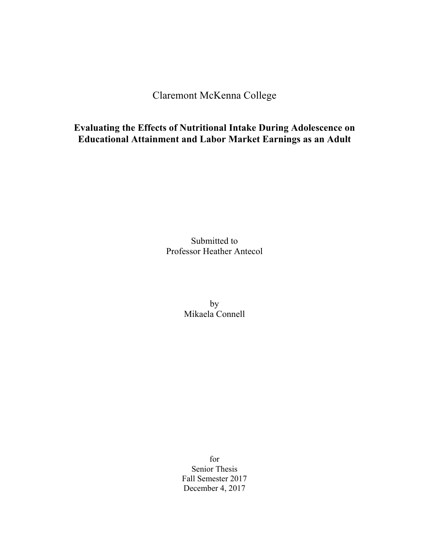Claremont McKenna College

**Evaluating the Effects of Nutritional Intake During Adolescence on Educational Attainment and Labor Market Earnings as an Adult**

> Submitted to Professor Heather Antecol

> > by Mikaela Connell

for Senior Thesis Fall Semester 2017 December 4, 2017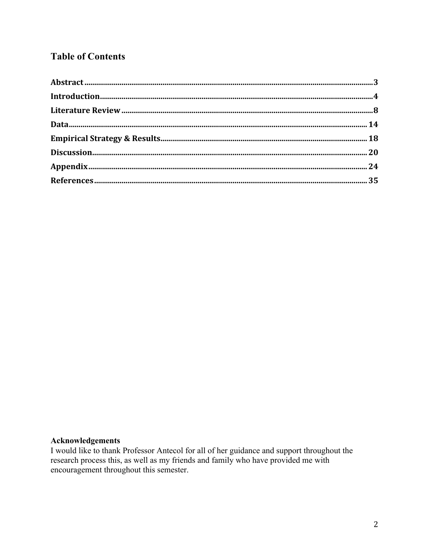# **Table of Contents**

### **Acknowledgements**

I would like to thank Professor Antecol for all of her guidance and support throughout the research process this, as well as my friends and family who have provided me with encouragement throughout this semester.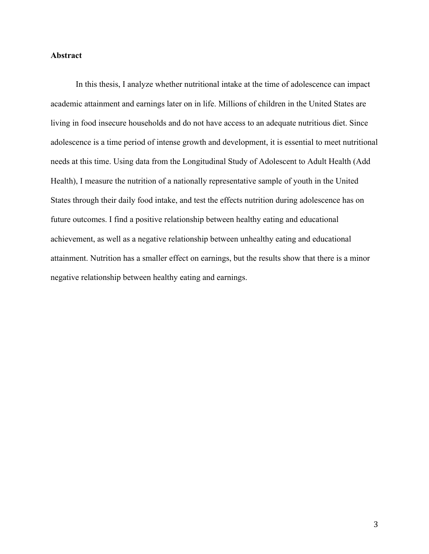### **Abstract**

In this thesis, I analyze whether nutritional intake at the time of adolescence can impact academic attainment and earnings later on in life. Millions of children in the United States are living in food insecure households and do not have access to an adequate nutritious diet. Since adolescence is a time period of intense growth and development, it is essential to meet nutritional needs at this time. Using data from the Longitudinal Study of Adolescent to Adult Health (Add Health), I measure the nutrition of a nationally representative sample of youth in the United States through their daily food intake, and test the effects nutrition during adolescence has on future outcomes. I find a positive relationship between healthy eating and educational achievement, as well as a negative relationship between unhealthy eating and educational attainment. Nutrition has a smaller effect on earnings, but the results show that there is a minor negative relationship between healthy eating and earnings.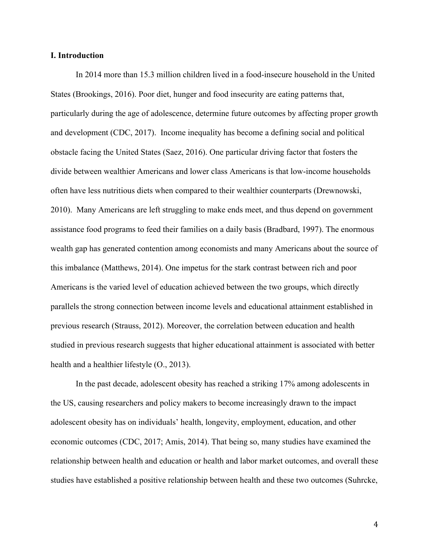#### **I. Introduction**

In 2014 more than 15.3 million children lived in a food-insecure household in the United States (Brookings, 2016). Poor diet, hunger and food insecurity are eating patterns that, particularly during the age of adolescence, determine future outcomes by affecting proper growth and development (CDC, 2017). Income inequality has become a defining social and political obstacle facing the United States (Saez, 2016). One particular driving factor that fosters the divide between wealthier Americans and lower class Americans is that low-income households often have less nutritious diets when compared to their wealthier counterparts (Drewnowski, 2010). Many Americans are left struggling to make ends meet, and thus depend on government assistance food programs to feed their families on a daily basis (Bradbard, 1997). The enormous wealth gap has generated contention among economists and many Americans about the source of this imbalance (Matthews, 2014). One impetus for the stark contrast between rich and poor Americans is the varied level of education achieved between the two groups, which directly parallels the strong connection between income levels and educational attainment established in previous research (Strauss, 2012). Moreover, the correlation between education and health studied in previous research suggests that higher educational attainment is associated with better health and a healthier lifestyle (O., 2013).

In the past decade, adolescent obesity has reached a striking 17% among adolescents in the US, causing researchers and policy makers to become increasingly drawn to the impact adolescent obesity has on individuals' health, longevity, employment, education, and other economic outcomes (CDC, 2017; Amis, 2014). That being so, many studies have examined the relationship between health and education or health and labor market outcomes, and overall these studies have established a positive relationship between health and these two outcomes (Suhrcke,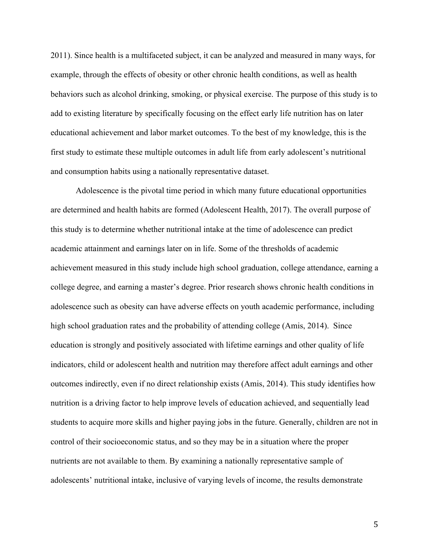2011). Since health is a multifaceted subject, it can be analyzed and measured in many ways, for example, through the effects of obesity or other chronic health conditions, as well as health behaviors such as alcohol drinking, smoking, or physical exercise. The purpose of this study is to add to existing literature by specifically focusing on the effect early life nutrition has on later educational achievement and labor market outcomes. To the best of my knowledge, this is the first study to estimate these multiple outcomes in adult life from early adolescent's nutritional and consumption habits using a nationally representative dataset.

Adolescence is the pivotal time period in which many future educational opportunities are determined and health habits are formed (Adolescent Health, 2017). The overall purpose of this study is to determine whether nutritional intake at the time of adolescence can predict academic attainment and earnings later on in life. Some of the thresholds of academic achievement measured in this study include high school graduation, college attendance, earning a college degree, and earning a master's degree. Prior research shows chronic health conditions in adolescence such as obesity can have adverse effects on youth academic performance, including high school graduation rates and the probability of attending college (Amis, 2014). Since education is strongly and positively associated with lifetime earnings and other quality of life indicators, child or adolescent health and nutrition may therefore affect adult earnings and other outcomes indirectly, even if no direct relationship exists (Amis, 2014). This study identifies how nutrition is a driving factor to help improve levels of education achieved, and sequentially lead students to acquire more skills and higher paying jobs in the future. Generally, children are not in control of their socioeconomic status, and so they may be in a situation where the proper nutrients are not available to them. By examining a nationally representative sample of adolescents' nutritional intake, inclusive of varying levels of income, the results demonstrate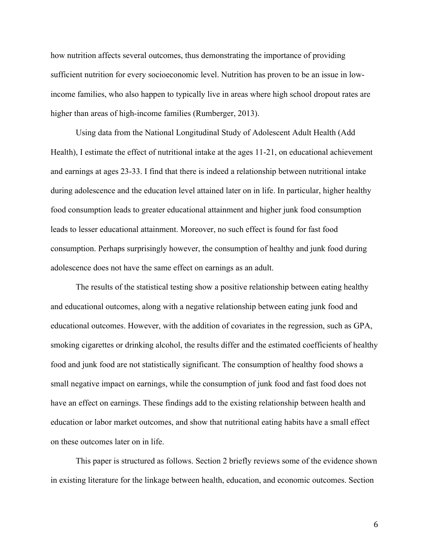how nutrition affects several outcomes, thus demonstrating the importance of providing sufficient nutrition for every socioeconomic level. Nutrition has proven to be an issue in lowincome families, who also happen to typically live in areas where high school dropout rates are higher than areas of high-income families (Rumberger, 2013).

Using data from the National Longitudinal Study of Adolescent Adult Health (Add Health), I estimate the effect of nutritional intake at the ages 11-21, on educational achievement and earnings at ages 23-33. I find that there is indeed a relationship between nutritional intake during adolescence and the education level attained later on in life. In particular, higher healthy food consumption leads to greater educational attainment and higher junk food consumption leads to lesser educational attainment. Moreover, no such effect is found for fast food consumption. Perhaps surprisingly however, the consumption of healthy and junk food during adolescence does not have the same effect on earnings as an adult.

The results of the statistical testing show a positive relationship between eating healthy and educational outcomes, along with a negative relationship between eating junk food and educational outcomes. However, with the addition of covariates in the regression, such as GPA, smoking cigarettes or drinking alcohol, the results differ and the estimated coefficients of healthy food and junk food are not statistically significant. The consumption of healthy food shows a small negative impact on earnings, while the consumption of junk food and fast food does not have an effect on earnings. These findings add to the existing relationship between health and education or labor market outcomes, and show that nutritional eating habits have a small effect on these outcomes later on in life.

This paper is structured as follows. Section 2 briefly reviews some of the evidence shown in existing literature for the linkage between health, education, and economic outcomes. Section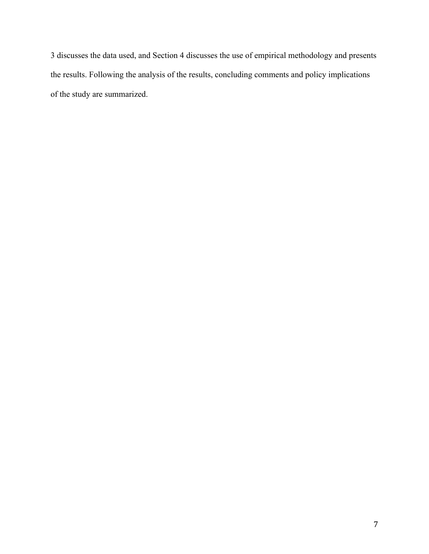3 discusses the data used, and Section 4 discusses the use of empirical methodology and presents the results. Following the analysis of the results, concluding comments and policy implications of the study are summarized.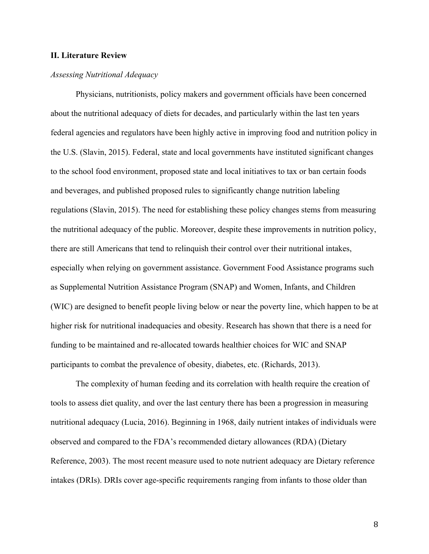#### **II. Literature Review**

#### *Assessing Nutritional Adequacy*

Physicians, nutritionists, policy makers and government officials have been concerned about the nutritional adequacy of diets for decades, and particularly within the last ten years federal agencies and regulators have been highly active in improving food and nutrition policy in the U.S. (Slavin, 2015). Federal, state and local governments have instituted significant changes to the school food environment, proposed state and local initiatives to tax or ban certain foods and beverages, and published proposed rules to significantly change nutrition labeling regulations (Slavin, 2015). The need for establishing these policy changes stems from measuring the nutritional adequacy of the public. Moreover, despite these improvements in nutrition policy, there are still Americans that tend to relinquish their control over their nutritional intakes, especially when relying on government assistance. Government Food Assistance programs such as Supplemental Nutrition Assistance Program (SNAP) and Women, Infants, and Children (WIC) are designed to benefit people living below or near the poverty line, which happen to be at higher risk for nutritional inadequacies and obesity. Research has shown that there is a need for funding to be maintained and re-allocated towards healthier choices for WIC and SNAP participants to combat the prevalence of obesity, diabetes, etc. (Richards, 2013).

The complexity of human feeding and its correlation with health require the creation of tools to assess diet quality, and over the last century there has been a progression in measuring nutritional adequacy (Lucia, 2016). Beginning in 1968, daily nutrient intakes of individuals were observed and compared to the FDA's recommended dietary allowances (RDA) (Dietary Reference, 2003). The most recent measure used to note nutrient adequacy are Dietary reference intakes (DRIs). DRIs cover age-specific requirements ranging from infants to those older than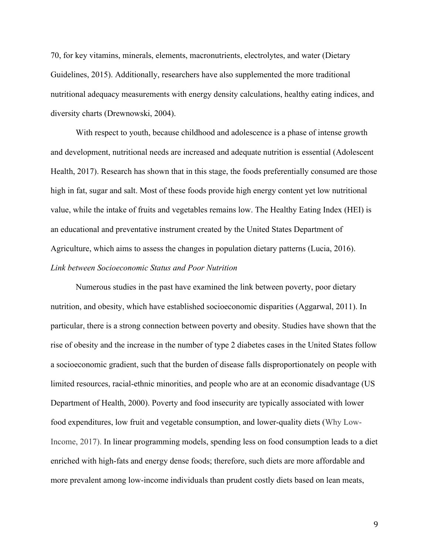70, for key vitamins, minerals, elements, macronutrients, electrolytes, and water (Dietary Guidelines, 2015). Additionally, researchers have also supplemented the more traditional nutritional adequacy measurements with energy density calculations, healthy eating indices, and diversity charts (Drewnowski, 2004).

With respect to youth, because childhood and adolescence is a phase of intense growth and development, nutritional needs are increased and adequate nutrition is essential (Adolescent Health, 2017). Research has shown that in this stage, the foods preferentially consumed are those high in fat, sugar and salt. Most of these foods provide high energy content yet low nutritional value, while the intake of fruits and vegetables remains low. The Healthy Eating Index (HEI) is an educational and preventative instrument created by the United States Department of Agriculture, which aims to assess the changes in population dietary patterns (Lucia, 2016). *Link between Socioeconomic Status and Poor Nutrition*

Numerous studies in the past have examined the link between poverty, poor dietary nutrition, and obesity, which have established socioeconomic disparities (Aggarwal, 2011). In particular, there is a strong connection between poverty and obesity. Studies have shown that the rise of obesity and the increase in the number of type 2 diabetes cases in the United States follow a socioeconomic gradient, such that the burden of disease falls disproportionately on people with limited resources, racial-ethnic minorities, and people who are at an economic disadvantage (US Department of Health, 2000). Poverty and food insecurity are typically associated with lower food expenditures, low fruit and vegetable consumption, and lower-quality diets (Why Low-Income, 2017). In linear programming models, spending less on food consumption leads to a diet enriched with high-fats and energy dense foods; therefore, such diets are more affordable and more prevalent among low-income individuals than prudent costly diets based on lean meats,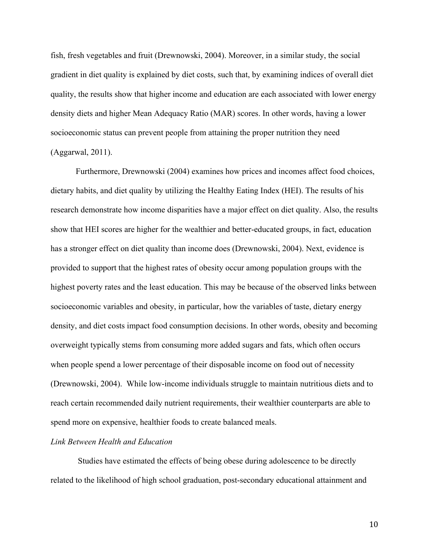fish, fresh vegetables and fruit (Drewnowski, 2004). Moreover, in a similar study, the social gradient in diet quality is explained by diet costs, such that, by examining indices of overall diet quality, the results show that higher income and education are each associated with lower energy density diets and higher Mean Adequacy Ratio (MAR) scores. In other words, having a lower socioeconomic status can prevent people from attaining the proper nutrition they need (Aggarwal, 2011).

Furthermore, Drewnowski (2004) examines how prices and incomes affect food choices, dietary habits, and diet quality by utilizing the Healthy Eating Index (HEI). The results of his research demonstrate how income disparities have a major effect on diet quality. Also, the results show that HEI scores are higher for the wealthier and better-educated groups, in fact, education has a stronger effect on diet quality than income does (Drewnowski, 2004). Next, evidence is provided to support that the highest rates of obesity occur among population groups with the highest poverty rates and the least education. This may be because of the observed links between socioeconomic variables and obesity, in particular, how the variables of taste, dietary energy density, and diet costs impact food consumption decisions. In other words, obesity and becoming overweight typically stems from consuming more added sugars and fats, which often occurs when people spend a lower percentage of their disposable income on food out of necessity (Drewnowski, 2004). While low-income individuals struggle to maintain nutritious diets and to reach certain recommended daily nutrient requirements, their wealthier counterparts are able to spend more on expensive, healthier foods to create balanced meals.

#### *Link Between Health and Education*

Studies have estimated the effects of being obese during adolescence to be directly related to the likelihood of high school graduation, post-secondary educational attainment and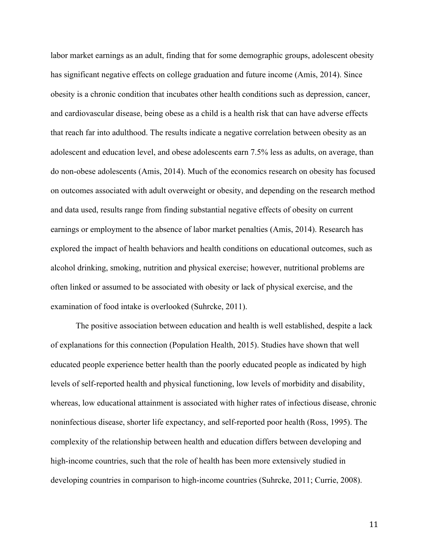labor market earnings as an adult, finding that for some demographic groups, adolescent obesity has significant negative effects on college graduation and future income (Amis, 2014). Since obesity is a chronic condition that incubates other health conditions such as depression, cancer, and cardiovascular disease, being obese as a child is a health risk that can have adverse effects that reach far into adulthood. The results indicate a negative correlation between obesity as an adolescent and education level, and obese adolescents earn 7.5% less as adults, on average, than do non-obese adolescents (Amis, 2014). Much of the economics research on obesity has focused on outcomes associated with adult overweight or obesity, and depending on the research method and data used, results range from finding substantial negative effects of obesity on current earnings or employment to the absence of labor market penalties (Amis, 2014). Research has explored the impact of health behaviors and health conditions on educational outcomes, such as alcohol drinking, smoking, nutrition and physical exercise; however, nutritional problems are often linked or assumed to be associated with obesity or lack of physical exercise, and the examination of food intake is overlooked (Suhrcke, 2011).

The positive association between education and health is well established, despite a lack of explanations for this connection (Population Health, 2015). Studies have shown that well educated people experience better health than the poorly educated people as indicated by high levels of self-reported health and physical functioning, low levels of morbidity and disability, whereas, low educational attainment is associated with higher rates of infectious disease, chronic noninfectious disease, shorter life expectancy, and self-reported poor health (Ross, 1995). The complexity of the relationship between health and education differs between developing and high-income countries, such that the role of health has been more extensively studied in developing countries in comparison to high-income countries (Suhrcke, 2011; Currie, 2008).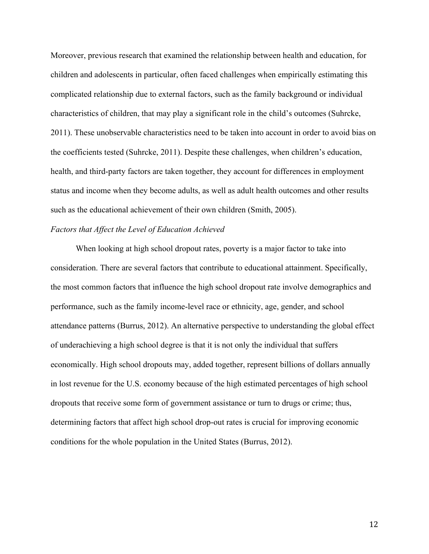Moreover, previous research that examined the relationship between health and education, for children and adolescents in particular, often faced challenges when empirically estimating this complicated relationship due to external factors, such as the family background or individual characteristics of children, that may play a significant role in the child's outcomes (Suhrcke, 2011). These unobservable characteristics need to be taken into account in order to avoid bias on the coefficients tested (Suhrcke, 2011). Despite these challenges, when children's education, health, and third-party factors are taken together, they account for differences in employment status and income when they become adults, as well as adult health outcomes and other results such as the educational achievement of their own children (Smith, 2005).

#### *Factors that Affect the Level of Education Achieved*

When looking at high school dropout rates, poverty is a major factor to take into consideration. There are several factors that contribute to educational attainment. Specifically, the most common factors that influence the high school dropout rate involve demographics and performance, such as the family income-level race or ethnicity, age, gender, and school attendance patterns (Burrus, 2012). An alternative perspective to understanding the global effect of underachieving a high school degree is that it is not only the individual that suffers economically. High school dropouts may, added together, represent billions of dollars annually in lost revenue for the U.S. economy because of the high estimated percentages of high school dropouts that receive some form of government assistance or turn to drugs or crime; thus, determining factors that affect high school drop-out rates is crucial for improving economic conditions for the whole population in the United States (Burrus, 2012).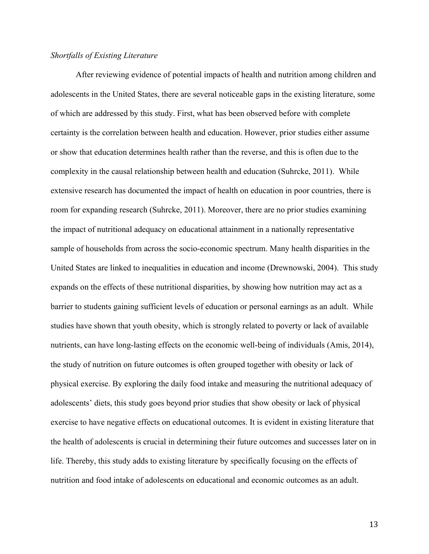#### *Shortfalls of Existing Literature*

After reviewing evidence of potential impacts of health and nutrition among children and adolescents in the United States, there are several noticeable gaps in the existing literature, some of which are addressed by this study. First, what has been observed before with complete certainty is the correlation between health and education. However, prior studies either assume or show that education determines health rather than the reverse, and this is often due to the complexity in the causal relationship between health and education (Suhrcke, 2011). While extensive research has documented the impact of health on education in poor countries, there is room for expanding research (Suhrcke, 2011). Moreover, there are no prior studies examining the impact of nutritional adequacy on educational attainment in a nationally representative sample of households from across the socio-economic spectrum. Many health disparities in the United States are linked to inequalities in education and income (Drewnowski, 2004). This study expands on the effects of these nutritional disparities, by showing how nutrition may act as a barrier to students gaining sufficient levels of education or personal earnings as an adult. While studies have shown that youth obesity, which is strongly related to poverty or lack of available nutrients, can have long-lasting effects on the economic well-being of individuals (Amis, 2014), the study of nutrition on future outcomes is often grouped together with obesity or lack of physical exercise. By exploring the daily food intake and measuring the nutritional adequacy of adolescents' diets, this study goes beyond prior studies that show obesity or lack of physical exercise to have negative effects on educational outcomes. It is evident in existing literature that the health of adolescents is crucial in determining their future outcomes and successes later on in life. Thereby, this study adds to existing literature by specifically focusing on the effects of nutrition and food intake of adolescents on educational and economic outcomes as an adult.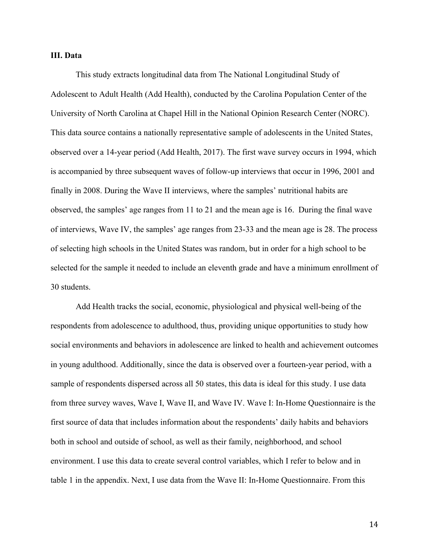#### **III. Data**

This study extracts longitudinal data from The National Longitudinal Study of Adolescent to Adult Health (Add Health), conducted by the Carolina Population Center of the University of North Carolina at Chapel Hill in the National Opinion Research Center (NORC). This data source contains a nationally representative sample of adolescents in the United States, observed over a 14-year period (Add Health, 2017). The first wave survey occurs in 1994, which is accompanied by three subsequent waves of follow-up interviews that occur in 1996, 2001 and finally in 2008. During the Wave II interviews, where the samples' nutritional habits are observed, the samples' age ranges from 11 to 21 and the mean age is 16. During the final wave of interviews, Wave IV, the samples' age ranges from 23-33 and the mean age is 28. The process of selecting high schools in the United States was random, but in order for a high school to be selected for the sample it needed to include an eleventh grade and have a minimum enrollment of 30 students.

Add Health tracks the social, economic, physiological and physical well-being of the respondents from adolescence to adulthood, thus, providing unique opportunities to study how social environments and behaviors in adolescence are linked to health and achievement outcomes in young adulthood. Additionally, since the data is observed over a fourteen-year period, with a sample of respondents dispersed across all 50 states, this data is ideal for this study. I use data from three survey waves, Wave I, Wave II, and Wave IV. Wave I: In-Home Questionnaire is the first source of data that includes information about the respondents' daily habits and behaviors both in school and outside of school, as well as their family, neighborhood, and school environment. I use this data to create several control variables, which I refer to below and in table 1 in the appendix. Next, I use data from the Wave II: In-Home Questionnaire. From this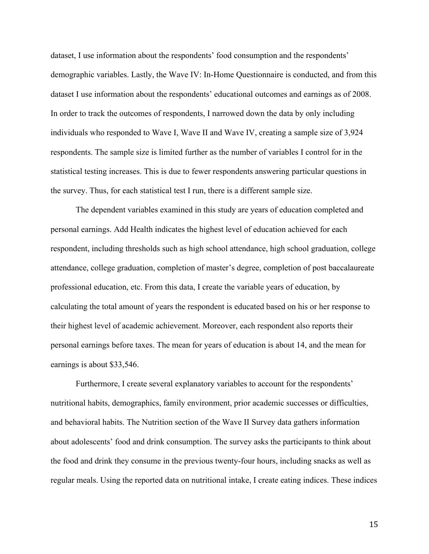dataset, I use information about the respondents' food consumption and the respondents' demographic variables. Lastly, the Wave IV: In-Home Questionnaire is conducted, and from this dataset I use information about the respondents' educational outcomes and earnings as of 2008. In order to track the outcomes of respondents, I narrowed down the data by only including individuals who responded to Wave I, Wave II and Wave IV, creating a sample size of 3,924 respondents. The sample size is limited further as the number of variables I control for in the statistical testing increases. This is due to fewer respondents answering particular questions in the survey. Thus, for each statistical test I run, there is a different sample size.

The dependent variables examined in this study are years of education completed and personal earnings. Add Health indicates the highest level of education achieved for each respondent, including thresholds such as high school attendance, high school graduation, college attendance, college graduation, completion of master's degree, completion of post baccalaureate professional education, etc. From this data, I create the variable years of education, by calculating the total amount of years the respondent is educated based on his or her response to their highest level of academic achievement. Moreover, each respondent also reports their personal earnings before taxes. The mean for years of education is about 14, and the mean for earnings is about \$33,546.

Furthermore, I create several explanatory variables to account for the respondents' nutritional habits, demographics, family environment, prior academic successes or difficulties, and behavioral habits. The Nutrition section of the Wave II Survey data gathers information about adolescents' food and drink consumption. The survey asks the participants to think about the food and drink they consume in the previous twenty-four hours, including snacks as well as regular meals. Using the reported data on nutritional intake, I create eating indices. These indices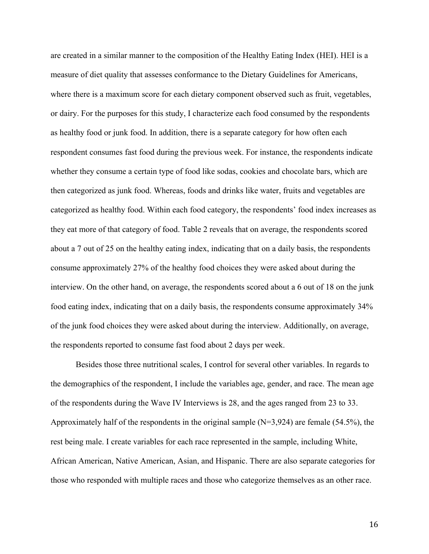are created in a similar manner to the composition of the Healthy Eating Index (HEI). HEI is a measure of diet quality that assesses conformance to the Dietary Guidelines for Americans, where there is a maximum score for each dietary component observed such as fruit, vegetables, or dairy. For the purposes for this study, I characterize each food consumed by the respondents as healthy food or junk food. In addition, there is a separate category for how often each respondent consumes fast food during the previous week. For instance, the respondents indicate whether they consume a certain type of food like sodas, cookies and chocolate bars, which are then categorized as junk food. Whereas, foods and drinks like water, fruits and vegetables are categorized as healthy food. Within each food category, the respondents' food index increases as they eat more of that category of food. Table 2 reveals that on average, the respondents scored about a 7 out of 25 on the healthy eating index, indicating that on a daily basis, the respondents consume approximately 27% of the healthy food choices they were asked about during the interview. On the other hand, on average, the respondents scored about a 6 out of 18 on the junk food eating index, indicating that on a daily basis, the respondents consume approximately 34% of the junk food choices they were asked about during the interview. Additionally, on average, the respondents reported to consume fast food about 2 days per week.

Besides those three nutritional scales, I control for several other variables. In regards to the demographics of the respondent, I include the variables age, gender, and race. The mean age of the respondents during the Wave IV Interviews is 28, and the ages ranged from 23 to 33. Approximately half of the respondents in the original sample  $(N=3,924)$  are female (54.5%), the rest being male. I create variables for each race represented in the sample, including White, African American, Native American, Asian, and Hispanic. There are also separate categories for those who responded with multiple races and those who categorize themselves as an other race.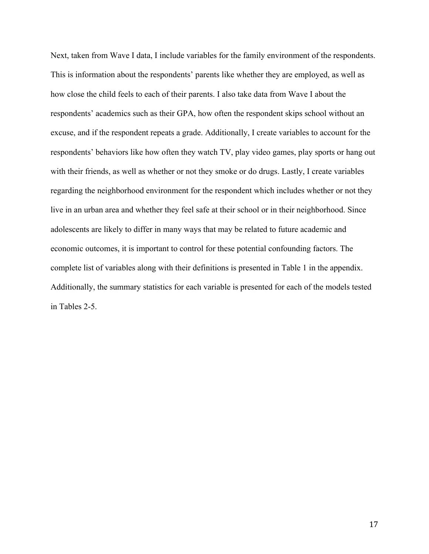Next, taken from Wave I data, I include variables for the family environment of the respondents. This is information about the respondents' parents like whether they are employed, as well as how close the child feels to each of their parents. I also take data from Wave I about the respondents' academics such as their GPA, how often the respondent skips school without an excuse, and if the respondent repeats a grade. Additionally, I create variables to account for the respondents' behaviors like how often they watch TV, play video games, play sports or hang out with their friends, as well as whether or not they smoke or do drugs. Lastly, I create variables regarding the neighborhood environment for the respondent which includes whether or not they live in an urban area and whether they feel safe at their school or in their neighborhood. Since adolescents are likely to differ in many ways that may be related to future academic and economic outcomes, it is important to control for these potential confounding factors. The complete list of variables along with their definitions is presented in Table 1 in the appendix. Additionally, the summary statistics for each variable is presented for each of the models tested in Tables 2-5.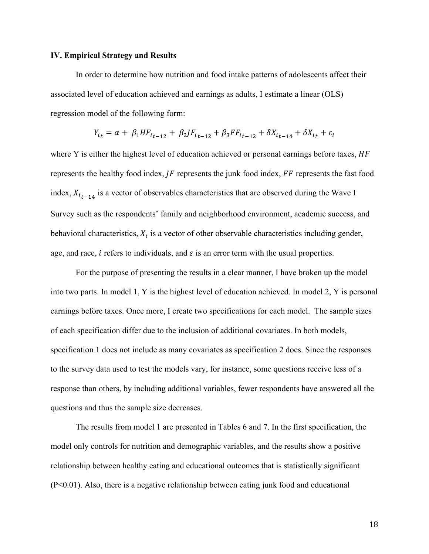#### **IV. Empirical Strategy and Results**

In order to determine how nutrition and food intake patterns of adolescents affect their associated level of education achieved and earnings as adults, I estimate a linear (OLS) regression model of the following form:

$$
Y_{i_t} = \alpha + \beta_1 H F_{i_{t-12}} + \beta_2 J F_{i_{t-12}} + \beta_3 F F_{i_{t-12}} + \delta X_{i_{t-14}} + \delta X_{i_t} + \varepsilon_i
$$

where Y is either the highest level of education achieved or personal earnings before taxes, HF represents the healthy food index,  $IF$  represents the junk food index,  $FF$  represents the fast food index,  $X_{i_{t-1}+i}$  is a vector of observables characteristics that are observed during the Wave I Survey such as the respondents' family and neighborhood environment, academic success, and behavioral characteristics,  $X_i$  is a vector of other observable characteristics including gender, age, and race, *i* refers to individuals, and  $\varepsilon$  is an error term with the usual properties.

For the purpose of presenting the results in a clear manner, I have broken up the model into two parts. In model 1, Y is the highest level of education achieved. In model 2, Y is personal earnings before taxes. Once more, I create two specifications for each model. The sample sizes of each specification differ due to the inclusion of additional covariates. In both models, specification 1 does not include as many covariates as specification 2 does. Since the responses to the survey data used to test the models vary, for instance, some questions receive less of a response than others, by including additional variables, fewer respondents have answered all the questions and thus the sample size decreases.

The results from model 1 are presented in Tables 6 and 7. In the first specification, the model only controls for nutrition and demographic variables, and the results show a positive relationship between healthy eating and educational outcomes that is statistically significant (P<0.01). Also, there is a negative relationship between eating junk food and educational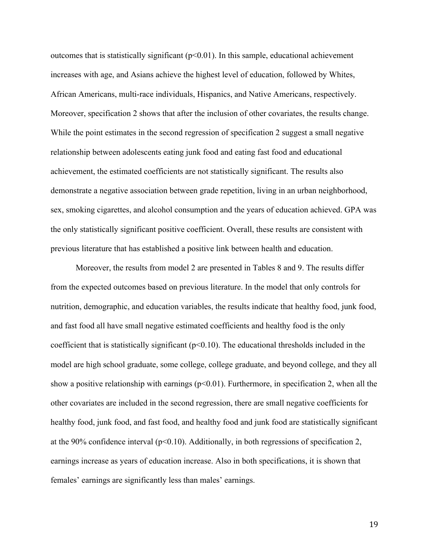outcomes that is statistically significant  $(p<0.01)$ . In this sample, educational achievement increases with age, and Asians achieve the highest level of education, followed by Whites, African Americans, multi-race individuals, Hispanics, and Native Americans, respectively. Moreover, specification 2 shows that after the inclusion of other covariates, the results change. While the point estimates in the second regression of specification 2 suggest a small negative relationship between adolescents eating junk food and eating fast food and educational achievement, the estimated coefficients are not statistically significant. The results also demonstrate a negative association between grade repetition, living in an urban neighborhood, sex, smoking cigarettes, and alcohol consumption and the years of education achieved. GPA was the only statistically significant positive coefficient. Overall, these results are consistent with previous literature that has established a positive link between health and education.

Moreover, the results from model 2 are presented in Tables 8 and 9. The results differ from the expected outcomes based on previous literature. In the model that only controls for nutrition, demographic, and education variables, the results indicate that healthy food, junk food, and fast food all have small negative estimated coefficients and healthy food is the only coefficient that is statistically significant ( $p<0.10$ ). The educational thresholds included in the model are high school graduate, some college, college graduate, and beyond college, and they all show a positive relationship with earnings  $(p<0.01)$ . Furthermore, in specification 2, when all the other covariates are included in the second regression, there are small negative coefficients for healthy food, junk food, and fast food, and healthy food and junk food are statistically significant at the 90% confidence interval ( $p<0.10$ ). Additionally, in both regressions of specification 2, earnings increase as years of education increase. Also in both specifications, it is shown that females' earnings are significantly less than males' earnings.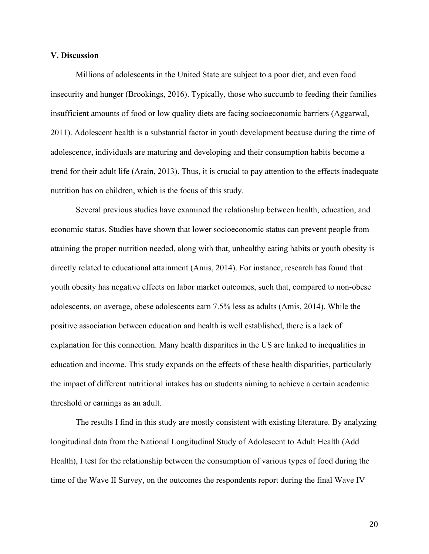#### **V. Discussion**

Millions of adolescents in the United State are subject to a poor diet, and even food insecurity and hunger (Brookings, 2016). Typically, those who succumb to feeding their families insufficient amounts of food or low quality diets are facing socioeconomic barriers (Aggarwal, 2011). Adolescent health is a substantial factor in youth development because during the time of adolescence, individuals are maturing and developing and their consumption habits become a trend for their adult life (Arain, 2013). Thus, it is crucial to pay attention to the effects inadequate nutrition has on children, which is the focus of this study.

Several previous studies have examined the relationship between health, education, and economic status. Studies have shown that lower socioeconomic status can prevent people from attaining the proper nutrition needed, along with that, unhealthy eating habits or youth obesity is directly related to educational attainment (Amis, 2014). For instance, research has found that youth obesity has negative effects on labor market outcomes, such that, compared to non-obese adolescents, on average, obese adolescents earn 7.5% less as adults (Amis, 2014). While the positive association between education and health is well established, there is a lack of explanation for this connection. Many health disparities in the US are linked to inequalities in education and income. This study expands on the effects of these health disparities, particularly the impact of different nutritional intakes has on students aiming to achieve a certain academic threshold or earnings as an adult.

The results I find in this study are mostly consistent with existing literature. By analyzing longitudinal data from the National Longitudinal Study of Adolescent to Adult Health (Add Health), I test for the relationship between the consumption of various types of food during the time of the Wave II Survey, on the outcomes the respondents report during the final Wave IV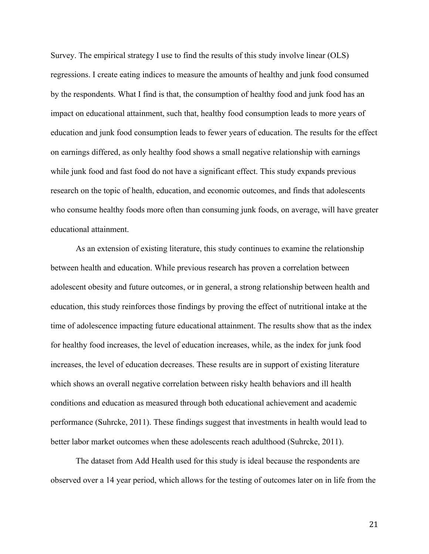Survey. The empirical strategy I use to find the results of this study involve linear (OLS) regressions. I create eating indices to measure the amounts of healthy and junk food consumed by the respondents. What I find is that, the consumption of healthy food and junk food has an impact on educational attainment, such that, healthy food consumption leads to more years of education and junk food consumption leads to fewer years of education. The results for the effect on earnings differed, as only healthy food shows a small negative relationship with earnings while junk food and fast food do not have a significant effect. This study expands previous research on the topic of health, education, and economic outcomes, and finds that adolescents who consume healthy foods more often than consuming junk foods, on average, will have greater educational attainment.

As an extension of existing literature, this study continues to examine the relationship between health and education. While previous research has proven a correlation between adolescent obesity and future outcomes, or in general, a strong relationship between health and education, this study reinforces those findings by proving the effect of nutritional intake at the time of adolescence impacting future educational attainment. The results show that as the index for healthy food increases, the level of education increases, while, as the index for junk food increases, the level of education decreases. These results are in support of existing literature which shows an overall negative correlation between risky health behaviors and ill health conditions and education as measured through both educational achievement and academic performance (Suhrcke, 2011). These findings suggest that investments in health would lead to better labor market outcomes when these adolescents reach adulthood (Suhrcke, 2011).

The dataset from Add Health used for this study is ideal because the respondents are observed over a 14 year period, which allows for the testing of outcomes later on in life from the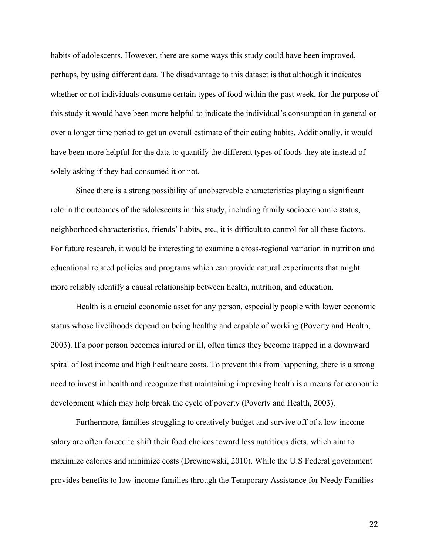habits of adolescents. However, there are some ways this study could have been improved, perhaps, by using different data. The disadvantage to this dataset is that although it indicates whether or not individuals consume certain types of food within the past week, for the purpose of this study it would have been more helpful to indicate the individual's consumption in general or over a longer time period to get an overall estimate of their eating habits. Additionally, it would have been more helpful for the data to quantify the different types of foods they ate instead of solely asking if they had consumed it or not.

Since there is a strong possibility of unobservable characteristics playing a significant role in the outcomes of the adolescents in this study, including family socioeconomic status, neighborhood characteristics, friends' habits, etc., it is difficult to control for all these factors. For future research, it would be interesting to examine a cross-regional variation in nutrition and educational related policies and programs which can provide natural experiments that might more reliably identify a causal relationship between health, nutrition, and education.

Health is a crucial economic asset for any person, especially people with lower economic status whose livelihoods depend on being healthy and capable of working (Poverty and Health, 2003). If a poor person becomes injured or ill, often times they become trapped in a downward spiral of lost income and high healthcare costs. To prevent this from happening, there is a strong need to invest in health and recognize that maintaining improving health is a means for economic development which may help break the cycle of poverty (Poverty and Health, 2003).

Furthermore, families struggling to creatively budget and survive off of a low-income salary are often forced to shift their food choices toward less nutritious diets, which aim to maximize calories and minimize costs (Drewnowski, 2010). While the U.S Federal government provides benefits to low-income families through the Temporary Assistance for Needy Families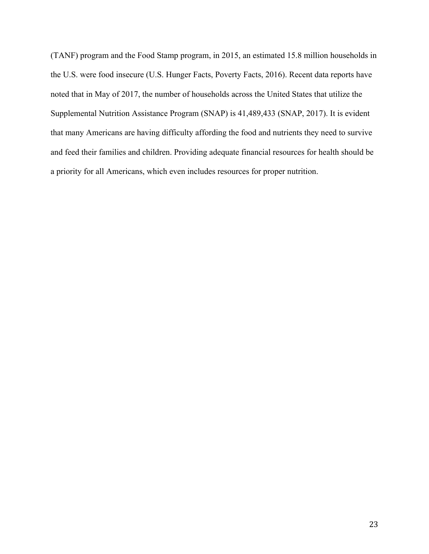(TANF) program and the Food Stamp program, in 2015, an estimated 15.8 million households in the U.S. were food insecure (U.S. Hunger Facts, Poverty Facts, 2016). Recent data reports have noted that in May of 2017, the number of households across the United States that utilize the Supplemental Nutrition Assistance Program (SNAP) is 41,489,433 (SNAP, 2017). It is evident that many Americans are having difficulty affording the food and nutrients they need to survive and feed their families and children. Providing adequate financial resources for health should be a priority for all Americans, which even includes resources for proper nutrition.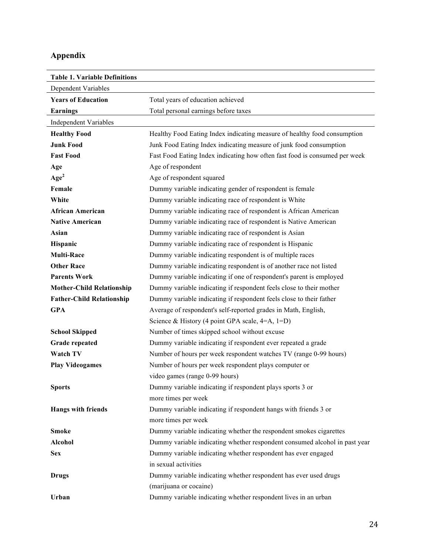# **Appendix**

| <b>Table 1. Variable Definitions</b> |                                                                            |
|--------------------------------------|----------------------------------------------------------------------------|
| Dependent Variables                  |                                                                            |
| <b>Years of Education</b>            | Total years of education achieved                                          |
| <b>Earnings</b>                      | Total personal earnings before taxes                                       |
| <b>Independent Variables</b>         |                                                                            |
| <b>Healthy Food</b>                  | Healthy Food Eating Index indicating measure of healthy food consumption   |
| <b>Junk Food</b>                     | Junk Food Eating Index indicating measure of junk food consumption         |
| <b>Fast Food</b>                     | Fast Food Eating Index indicating how often fast food is consumed per week |
| Age                                  | Age of respondent                                                          |
| Age <sup>2</sup>                     | Age of respondent squared                                                  |
| Female                               | Dummy variable indicating gender of respondent is female                   |
| White                                | Dummy variable indicating race of respondent is White                      |
| <b>African American</b>              | Dummy variable indicating race of respondent is African American           |
| <b>Native American</b>               | Dummy variable indicating race of respondent is Native American            |
| Asian                                | Dummy variable indicating race of respondent is Asian                      |
| Hispanic                             | Dummy variable indicating race of respondent is Hispanic                   |
| <b>Multi-Race</b>                    | Dummy variable indicating respondent is of multiple races                  |
| <b>Other Race</b>                    | Dummy variable indicating respondent is of another race not listed         |
| <b>Parents Work</b>                  | Dummy variable indicating if one of respondent's parent is employed        |
| <b>Mother-Child Relationship</b>     | Dummy variable indicating if respondent feels close to their mother        |
| <b>Father-Child Relationship</b>     | Dummy variable indicating if respondent feels close to their father        |
| <b>GPA</b>                           | Average of respondent's self-reported grades in Math, English,             |
|                                      | Science & History (4 point GPA scale, $4=A$ , $1=D$ )                      |
| <b>School Skipped</b>                | Number of times skipped school without excuse                              |
| <b>Grade repeated</b>                | Dummy variable indicating if respondent ever repeated a grade              |
| <b>Watch TV</b>                      | Number of hours per week respondent watches TV (range 0-99 hours)          |
| <b>Play Videogames</b>               | Number of hours per week respondent plays computer or                      |
|                                      | video games (range 0-99 hours)                                             |
| <b>Sports</b>                        | Dummy variable indicating if respondent plays sports 3 or                  |
|                                      | more times per week                                                        |
| <b>Hangs with friends</b>            | Dummy variable indicating if respondent hangs with friends 3 or            |
|                                      | more times per week                                                        |
| <b>Smoke</b>                         | Dummy variable indicating whether the respondent smokes cigarettes         |
| <b>Alcohol</b>                       | Dummy variable indicating whether respondent consumed alcohol in past year |
| <b>Sex</b>                           | Dummy variable indicating whether respondent has ever engaged              |
|                                      | in sexual activities                                                       |
| <b>Drugs</b>                         | Dummy variable indicating whether respondent has ever used drugs           |
|                                      | (marijuana or cocaine)                                                     |
| Urban                                | Dummy variable indicating whether respondent lives in an urban             |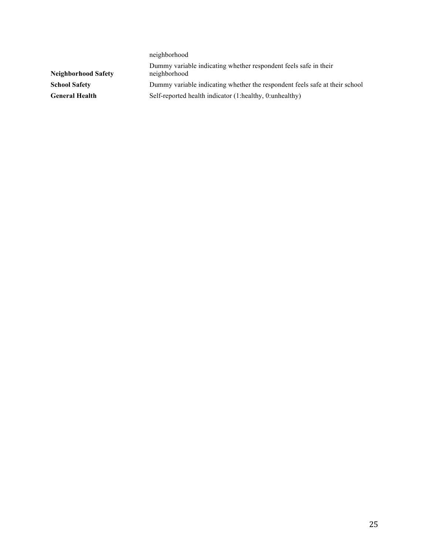neighborhood **Neighborhood Safety** Dummy variable indicating whether respondent feels safe in their neighborhood **School Safety** Dummy variable indicating whether the respondent feels safe at their school General Health **Self-reported health indicator (1:healthy, 0:unhealthy)**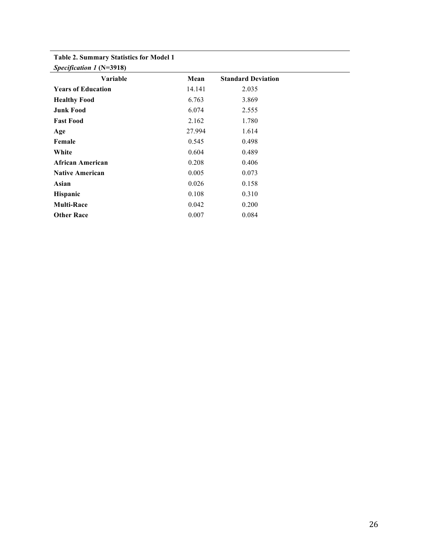### **Table 2. Summary Statistics for Model 1**

| Specification 1 (N=3918)  |        |                           |  |
|---------------------------|--------|---------------------------|--|
| Variable                  | Mean   | <b>Standard Deviation</b> |  |
| <b>Years of Education</b> | 14.141 | 2.035                     |  |
| <b>Healthy Food</b>       | 6.763  | 3.869                     |  |
| <b>Junk Food</b>          | 6.074  | 2.555                     |  |
| <b>Fast Food</b>          | 2.162  | 1.780                     |  |
| Age                       | 27.994 | 1.614                     |  |
| Female                    | 0.545  | 0.498                     |  |
| White                     | 0.604  | 0.489                     |  |
| African American          | 0.208  | 0.406                     |  |
| <b>Native American</b>    | 0.005  | 0.073                     |  |
| Asian                     | 0.026  | 0.158                     |  |
| Hispanic                  | 0.108  | 0.310                     |  |
| <b>Multi-Race</b>         | 0.042  | 0.200                     |  |
| <b>Other Race</b>         | 0.007  | 0.084                     |  |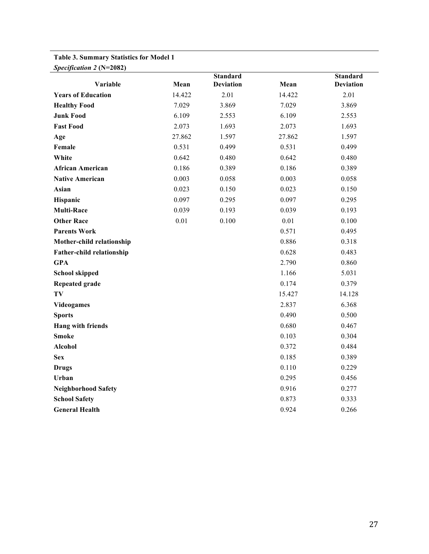## **Table 3. Summary Statistics for Model 1**

| Specification 2 (N=2082)         |        | <b>Standard</b>  |        | <b>Standard</b>  |
|----------------------------------|--------|------------------|--------|------------------|
| Variable                         | Mean   | <b>Deviation</b> | Mean   | <b>Deviation</b> |
| <b>Years of Education</b>        | 14.422 | 2.01             | 14.422 | 2.01             |
| <b>Healthy Food</b>              | 7.029  | 3.869            | 7.029  | 3.869            |
| <b>Junk Food</b>                 | 6.109  | 2.553            | 6.109  | 2.553            |
| <b>Fast Food</b>                 | 2.073  | 1.693            | 2.073  | 1.693            |
| Age                              | 27.862 | 1.597            | 27.862 | 1.597            |
| Female                           | 0.531  | 0.499            | 0.531  | 0.499            |
| White                            | 0.642  | 0.480            | 0.642  | 0.480            |
| <b>African American</b>          | 0.186  | 0.389            | 0.186  | 0.389            |
| <b>Native American</b>           | 0.003  | 0.058            | 0.003  | 0.058            |
| Asian                            | 0.023  | 0.150            | 0.023  | 0.150            |
| Hispanic                         | 0.097  | 0.295            | 0.097  | 0.295            |
| <b>Multi-Race</b>                | 0.039  | 0.193            | 0.039  | 0.193            |
| <b>Other Race</b>                | 0.01   | 0.100            | 0.01   | 0.100            |
| <b>Parents Work</b>              |        |                  | 0.571  | 0.495            |
| Mother-child relationship        |        |                  | 0.886  | 0.318            |
| <b>Father-child relationship</b> |        |                  | 0.628  | 0.483            |
| <b>GPA</b>                       |        |                  | 2.790  | 0.860            |
| <b>School skipped</b>            |        |                  | 1.166  | 5.031            |
| <b>Repeated grade</b>            |        |                  | 0.174  | 0.379            |
| TV                               |        |                  | 15.427 | 14.128           |
| <b>Videogames</b>                |        |                  | 2.837  | 6.368            |
| <b>Sports</b>                    |        |                  | 0.490  | 0.500            |
| Hang with friends                |        |                  | 0.680  | 0.467            |
| <b>Smoke</b>                     |        |                  | 0.103  | 0.304            |
| <b>Alcohol</b>                   |        |                  | 0.372  | 0.484            |
| <b>Sex</b>                       |        |                  | 0.185  | 0.389            |
| <b>Drugs</b>                     |        |                  | 0.110  | 0.229            |
| Urban                            |        |                  | 0.295  | 0.456            |
| <b>Neighborhood Safety</b>       |        |                  | 0.916  | 0.277            |
| <b>School Safety</b>             |        |                  | 0.873  | 0.333            |
| <b>General Health</b>            |        |                  | 0.924  | 0.266            |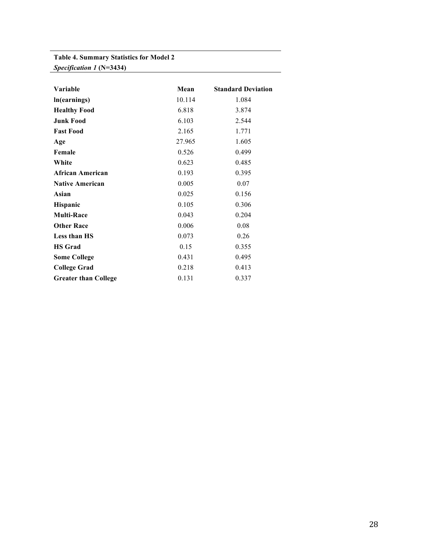### **Table 4. Summary Statistics for Model 2** *Specification 1* **(N=3434)**

| Variable                    | Mean   | <b>Standard Deviation</b> |
|-----------------------------|--------|---------------------------|
| In(earnings)                | 10.114 | 1.084                     |
| <b>Healthy Food</b>         | 6.818  | 3.874                     |
| <b>Junk Food</b>            | 6.103  | 2.544                     |
| <b>Fast Food</b>            | 2.165  | 1.771                     |
| Age                         | 27.965 | 1.605                     |
| Female                      | 0.526  | 0.499                     |
| White                       | 0.623  | 0.485                     |
| African American            | 0.193  | 0.395                     |
| <b>Native American</b>      | 0.005  | 0.07                      |
| Asian                       | 0.025  | 0.156                     |
| Hispanic                    | 0.105  | 0.306                     |
| <b>Multi-Race</b>           | 0.043  | 0.204                     |
| <b>Other Race</b>           | 0.006  | 0.08                      |
| <b>Less than HS</b>         | 0.073  | 0.26                      |
| <b>HS</b> Grad              | 0.15   | 0.355                     |
| <b>Some College</b>         | 0.431  | 0.495                     |
| <b>College Grad</b>         | 0.218  | 0.413                     |
| <b>Greater than College</b> | 0.131  | 0.337                     |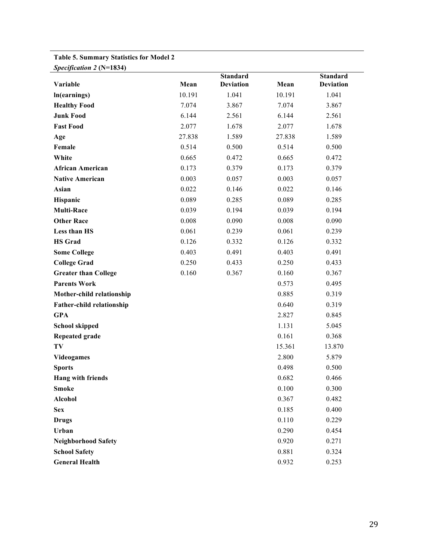| Specification 2 (N=1834)    |        |                                     |        |                                     |
|-----------------------------|--------|-------------------------------------|--------|-------------------------------------|
| Variable                    | Mean   | <b>Standard</b><br><b>Deviation</b> | Mean   | <b>Standard</b><br><b>Deviation</b> |
| In(earnings)                | 10.191 | 1.041                               | 10.191 | 1.041                               |
| <b>Healthy Food</b>         | 7.074  | 3.867                               | 7.074  | 3.867                               |
| <b>Junk Food</b>            | 6.144  | 2.561                               | 6.144  | 2.561                               |
| <b>Fast Food</b>            | 2.077  | 1.678                               | 2.077  | 1.678                               |
| Age                         | 27.838 | 1.589                               | 27.838 | 1.589                               |
| Female                      | 0.514  | 0.500                               | 0.514  | 0.500                               |
| White                       | 0.665  | 0.472                               | 0.665  | 0.472                               |
| <b>African American</b>     | 0.173  | 0.379                               | 0.173  | 0.379                               |
| <b>Native American</b>      | 0.003  | 0.057                               | 0.003  | 0.057                               |
| Asian                       | 0.022  | 0.146                               | 0.022  | 0.146                               |
| Hispanic                    | 0.089  | 0.285                               | 0.089  | 0.285                               |
| <b>Multi-Race</b>           | 0.039  | 0.194                               | 0.039  | 0.194                               |
| <b>Other Race</b>           | 0.008  | 0.090                               | 0.008  | 0.090                               |
| Less than HS                | 0.061  | 0.239                               | 0.061  | 0.239                               |
| <b>HS Grad</b>              | 0.126  | 0.332                               | 0.126  | 0.332                               |
| <b>Some College</b>         | 0.403  | 0.491                               | 0.403  | 0.491                               |
| <b>College Grad</b>         | 0.250  | 0.433                               | 0.250  | 0.433                               |
| <b>Greater than College</b> | 0.160  | 0.367                               | 0.160  | 0.367                               |
| <b>Parents Work</b>         |        |                                     | 0.573  | 0.495                               |
| Mother-child relationship   |        |                                     | 0.885  | 0.319                               |
| Father-child relationship   |        |                                     | 0.640  | 0.319                               |
| <b>GPA</b>                  |        |                                     | 2.827  | 0.845                               |
| <b>School skipped</b>       |        |                                     | 1.131  | 5.045                               |
| <b>Repeated grade</b>       |        |                                     | 0.161  | 0.368                               |
| TV                          |        |                                     | 15.361 | 13.870                              |
| <b>Videogames</b>           |        |                                     | 2.800  | 5.879                               |
| <b>Sports</b>               |        |                                     | 0.498  | 0.500                               |
| <b>Hang with friends</b>    |        |                                     | 0.682  | 0.466                               |
| <b>Smoke</b>                |        |                                     | 0.100  | 0.300                               |
| <b>Alcohol</b>              |        |                                     | 0.367  | 0.482                               |
| <b>Sex</b>                  |        |                                     | 0.185  | 0.400                               |
| <b>Drugs</b>                |        |                                     | 0.110  | 0.229                               |
| Urban                       |        |                                     | 0.290  | 0.454                               |
| <b>Neighborhood Safety</b>  |        |                                     | 0.920  | 0.271                               |
| <b>School Safety</b>        |        |                                     | 0.881  | 0.324                               |
| <b>General Health</b>       |        |                                     | 0.932  | 0.253                               |

# **Table 5. Summary Statistics for Model 2**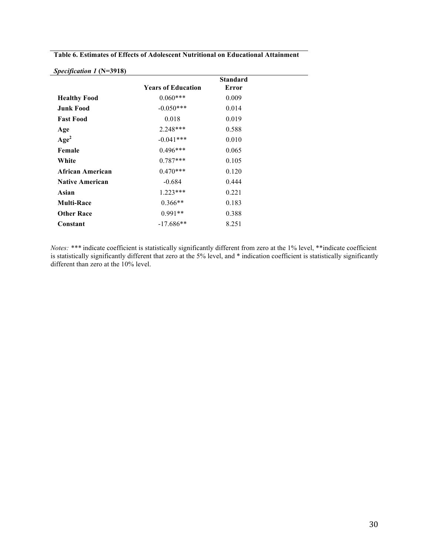|                        |                           | <b>Standard</b> |
|------------------------|---------------------------|-----------------|
|                        | <b>Years of Education</b> | Error           |
| <b>Healthy Food</b>    | $0.060***$                | 0.009           |
| <b>Junk Food</b>       | $-0.050***$               | 0.014           |
| <b>Fast Food</b>       | 0.018                     | 0.019           |
| Age                    | $2.248***$                | 0.588           |
| $A\mathbf{ge}^2$       | $-0.041***$               | 0.010           |
| Female                 | $0.496***$                | 0.065           |
| White                  | $0.787***$                | 0.105           |
| African American       | $0.470***$                | 0.120           |
| <b>Native American</b> | $-0.684$                  | 0.444           |
| Asian                  | $1.223***$                | 0.221           |
| <b>Multi-Race</b>      | $0.366**$                 | 0.183           |
| <b>Other Race</b>      | $0.991**$                 | 0.388           |
| Constant               | $-17.686**$               | 8.251           |

**Table 6. Estimates of Effects of Adolescent Nutritional on Educational Attainment** 

*Notes: \*\*\** indicate coefficient is statistically significantly different from zero at the 1% level, \*\*indicate coefficient is statistically significantly different that zero at the 5% level, and \* indication coefficient is statistically significantly different than zero at the 10% level.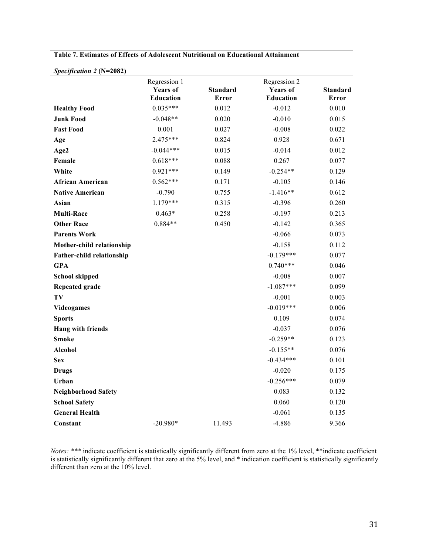*Specification 2* **(N=2082)**

|                            | Regression 1<br><b>Years of</b><br><b>Education</b> | <b>Standard</b><br><b>Error</b> | Regression 2<br><b>Years of</b><br><b>Education</b> | <b>Standard</b><br><b>Error</b> |
|----------------------------|-----------------------------------------------------|---------------------------------|-----------------------------------------------------|---------------------------------|
| <b>Healthy Food</b>        | $0.035***$                                          | 0.012                           | $-0.012$                                            | 0.010                           |
| <b>Junk Food</b>           | $-0.048**$                                          | 0.020                           | $-0.010$                                            | 0.015                           |
| <b>Fast Food</b>           | 0.001                                               | 0.027                           | $-0.008$                                            | 0.022                           |
| Age                        | $2.475***$                                          | 0.824                           | 0.928                                               | 0.671                           |
| Age2                       | $-0.044***$                                         | 0.015                           | $-0.014$                                            | 0.012                           |
| Female                     | $0.618***$                                          | 0.088                           | 0.267                                               | 0.077                           |
| White                      | $0.921***$                                          | 0.149                           | $-0.254**$                                          | 0.129                           |
| <b>African American</b>    | $0.562***$                                          | 0.171                           | $-0.105$                                            | 0.146                           |
| <b>Native American</b>     | $-0.790$                                            | 0.755                           | $-1.416**$                                          | 0.612                           |
| Asian                      | $1.179***$                                          | 0.315                           | $-0.396$                                            | 0.260                           |
| <b>Multi-Race</b>          | $0.463*$                                            | 0.258                           | $-0.197$                                            | 0.213                           |
| <b>Other Race</b>          | $0.884**$                                           | 0.450                           | $-0.142$                                            | 0.365                           |
| <b>Parents Work</b>        |                                                     |                                 | $-0.066$                                            | 0.073                           |
| Mother-child relationship  |                                                     |                                 | $-0.158$                                            | 0.112                           |
| Father-child relationship  |                                                     |                                 | $-0.179***$                                         | 0.077                           |
| <b>GPA</b>                 |                                                     |                                 | $0.740***$                                          | 0.046                           |
| <b>School skipped</b>      |                                                     |                                 | $-0.008$                                            | 0.007                           |
| <b>Repeated grade</b>      |                                                     |                                 | $-1.087***$                                         | 0.099                           |
| TV                         |                                                     |                                 | $-0.001$                                            | 0.003                           |
| <b>Videogames</b>          |                                                     |                                 | $-0.019***$                                         | 0.006                           |
| <b>Sports</b>              |                                                     |                                 | 0.109                                               | 0.074                           |
| Hang with friends          |                                                     |                                 | $-0.037$                                            | 0.076                           |
| <b>Smoke</b>               |                                                     |                                 | $-0.259**$                                          | 0.123                           |
| Alcohol                    |                                                     |                                 | $-0.155**$                                          | 0.076                           |
| <b>Sex</b>                 |                                                     |                                 | $-0.434***$                                         | 0.101                           |
| <b>Drugs</b>               |                                                     |                                 | $-0.020$                                            | 0.175                           |
| Urban                      |                                                     |                                 | $-0.256***$                                         | 0.079                           |
| <b>Neighborhood Safety</b> |                                                     |                                 | 0.083                                               | 0.132                           |
| <b>School Safety</b>       |                                                     |                                 | 0.060                                               | 0.120                           |
| <b>General Health</b>      |                                                     |                                 | $-0.061$                                            | 0.135                           |
| Constant                   | $-20.980*$                                          | 11.493                          | $-4.886$                                            | 9.366                           |

*Notes: \*\*\** indicate coefficient is statistically significantly different from zero at the 1% level, \*\*indicate coefficient is statistically significantly different that zero at the 5% level, and \* indication coefficient is statistically significantly different than zero at the 10% level.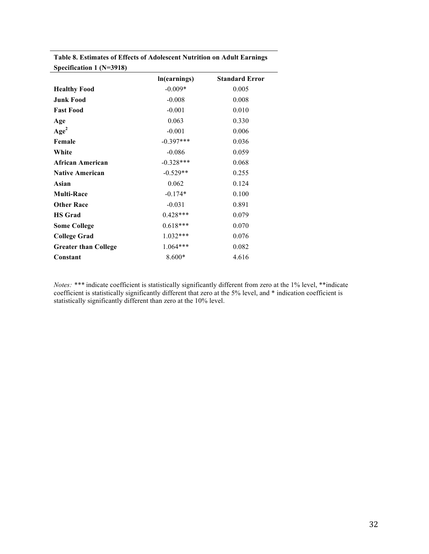| Specification 1 (N=3918)    |              |                       |
|-----------------------------|--------------|-----------------------|
|                             | ln(earnings) | <b>Standard Error</b> |
| <b>Healthy Food</b>         | $-0.009*$    | 0.005                 |
| <b>Junk Food</b>            | $-0.008$     | 0.008                 |
| <b>Fast Food</b>            | $-0.001$     | 0.010                 |
| Age                         | 0.063        | 0.330                 |
| Age <sup>2</sup>            | $-0.001$     | 0.006                 |
| Female                      | $-0.397***$  | 0.036                 |
| White                       | $-0.086$     | 0.059                 |
| African American            | $-0.328***$  | 0.068                 |
| <b>Native American</b>      | $-0.529**$   | 0.255                 |
| Asian                       | 0.062        | 0.124                 |
| <b>Multi-Race</b>           | $-0.174*$    | 0.100                 |
| <b>Other Race</b>           | $-0.031$     | 0.891                 |
| <b>HS</b> Grad              | $0.428***$   | 0.079                 |
| <b>Some College</b>         | $0.618***$   | 0.070                 |
| <b>College Grad</b>         | $1.032***$   | 0.076                 |
| <b>Greater than College</b> | 1.064***     | 0.082                 |
| Constant                    | 8.600*       | 4.616                 |

**Table 8. Estimates of Effects of Adolescent Nutrition on Adult Earnings** 

*Notes:* \*\*\* indicate coefficient is statistically significantly different from zero at the 1% level, \*\*indicate coefficient is statistically significantly different that zero at the 5% level, and \* indication coefficient is statistically significantly different than zero at the 10% level.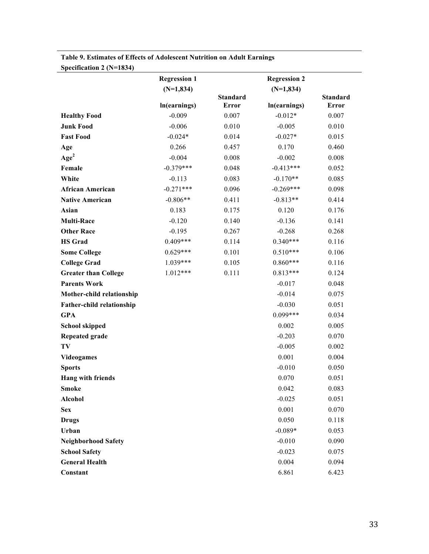| $\text{Spec}$ IIICation 2 (18–1654) |                     |                          |                     |                          |
|-------------------------------------|---------------------|--------------------------|---------------------|--------------------------|
|                                     | <b>Regression 1</b> |                          | <b>Regression 2</b> |                          |
|                                     | $(N=1,834)$         |                          | $(N=1,834)$         |                          |
|                                     | ln(earnings)        | <b>Standard</b><br>Error | In(earnings)        | <b>Standard</b><br>Error |
| <b>Healthy Food</b>                 | $-0.009$            | 0.007                    | $-0.012*$           | 0.007                    |
| <b>Junk Food</b>                    | $-0.006$            | 0.010                    | $-0.005$            | 0.010                    |
| <b>Fast Food</b>                    | $-0.024*$           | 0.014                    | $-0.027*$           | 0.015                    |
| Age                                 | 0.266               | 0.457                    | 0.170               | 0.460                    |
| Age <sup>2</sup>                    | $-0.004$            | 0.008                    | $-0.002$            | 0.008                    |
| Female                              | $-0.379***$         | 0.048                    | $-0.413***$         | 0.052                    |
| White                               | $-0.113$            | 0.083                    | $-0.170**$          | 0.085                    |
| <b>African American</b>             | $-0.271***$         | 0.096                    | $-0.269***$         | 0.098                    |
| <b>Native American</b>              | $-0.806**$          | 0.411                    | $-0.813**$          | 0.414                    |
| Asian                               | 0.183               | 0.175                    | 0.120               | 0.176                    |
| <b>Multi-Race</b>                   | $-0.120$            | 0.140                    | $-0.136$            | 0.141                    |
| <b>Other Race</b>                   | $-0.195$            | 0.267                    | $-0.268$            | 0.268                    |
| <b>HS</b> Grad                      | $0.409***$          | 0.114                    | $0.340***$          | 0.116                    |
| <b>Some College</b>                 | $0.629***$          | 0.101                    | $0.510***$          | 0.106                    |
| <b>College Grad</b>                 | $1.039***$          | 0.105                    | $0.860***$          | 0.116                    |
| <b>Greater than College</b>         | $1.012***$          | 0.111                    | $0.813***$          | 0.124                    |
| <b>Parents Work</b>                 |                     |                          | $-0.017$            | 0.048                    |
| Mother-child relationship           |                     |                          | $-0.014$            | 0.075                    |
| <b>Father-child relationship</b>    |                     |                          | $-0.030$            | 0.051                    |
| <b>GPA</b>                          |                     |                          | $0.099***$          | 0.034                    |
| <b>School skipped</b>               |                     |                          | 0.002               | 0.005                    |
| <b>Repeated grade</b>               |                     |                          | $-0.203$            | 0.070                    |
| TV                                  |                     |                          | $-0.005$            | 0.002                    |
| <b>Videogames</b>                   |                     |                          | 0.001               | 0.004                    |
| <b>Sports</b>                       |                     |                          | $-0.010$            | 0.050                    |
| Hang with friends                   |                     |                          | 0.070               | 0.051                    |
| <b>Smoke</b>                        |                     |                          | 0.042               | 0.083                    |
| Alcohol                             |                     |                          | $-0.025$            | 0.051                    |
| <b>Sex</b>                          |                     |                          | 0.001               | 0.070                    |
| <b>Drugs</b>                        |                     |                          | 0.050               | 0.118                    |
| Urban                               |                     |                          | $-0.089*$           | 0.053                    |
| <b>Neighborhood Safety</b>          |                     |                          | $-0.010$            | 0.090                    |
| <b>School Safety</b>                |                     |                          | $-0.023$            | 0.075                    |
| <b>General Health</b>               |                     |                          | 0.004               | 0.094                    |
| Constant                            |                     |                          | 6.861               | 6.423                    |

**Table 9. Estimates of Effects of Adolescent Nutrition on Adult Earnings Specification 2 (N=1834)**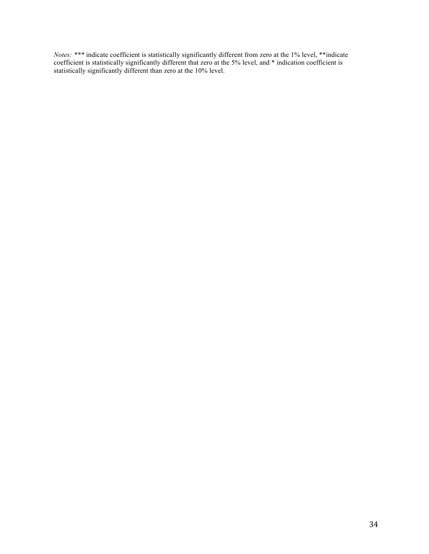*Notes: \*\*\** indicate coefficient is statistically significantly different from zero at the 1% level, \*\*indicate coefficient is statistically significantly different that zero at the 5% level, and \* indication coefficient is statistically significantly different than zero at the 10% level.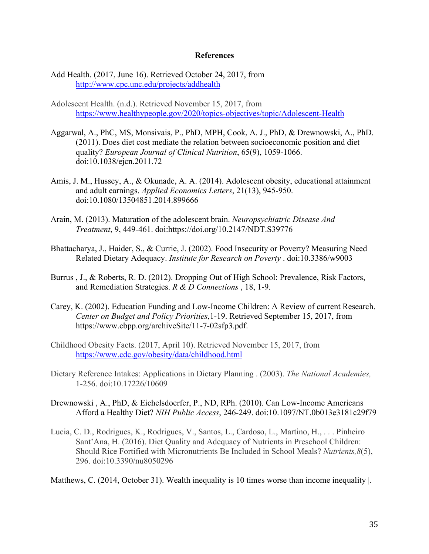#### **References**

- Add Health. (2017, June 16). Retrieved October 24, 2017, from http://www.cpc.unc.edu/projects/addhealth
- Adolescent Health. (n.d.). Retrieved November 15, 2017, from https://www.healthypeople.gov/2020/topics-objectives/topic/Adolescent-Health
- Aggarwal, A., PhC, MS, Monsivais, P., PhD, MPH, Cook, A. J., PhD, & Drewnowski, A., PhD. (2011). Does diet cost mediate the relation between socioeconomic position and diet quality? *European Journal of Clinical Nutrition*, 65(9), 1059-1066. doi:10.1038/ejcn.2011.72
- Amis, J. M., Hussey, A., & Okunade, A. A. (2014). Adolescent obesity, educational attainment and adult earnings. *Applied Economics Letters*, 21(13), 945-950. doi:10.1080/13504851.2014.899666
- Arain, M. (2013). Maturation of the adolescent brain. *Neuropsychiatric Disease And Treatment*, 9, 449-461. doi:https://doi.org/10.2147/NDT.S39776
- Bhattacharya, J., Haider, S., & Currie, J. (2002). Food Insecurity or Poverty? Measuring Need Related Dietary Adequacy. *Institute for Research on Poverty* . doi:10.3386/w9003
- Burrus , J., & Roberts, R. D. (2012). Dropping Out of High School: Prevalence, Risk Factors, and Remediation Strategies. *R & D Connections* , 18, 1-9.
- Carey, K. (2002). Education Funding and Low-Income Children: A Review of current Research. *Center on Budget and Policy Priorities*,1-19. Retrieved September 15, 2017, from https://www.cbpp.org/archiveSite/11-7-02sfp3.pdf.
- Childhood Obesity Facts. (2017, April 10). Retrieved November 15, 2017, from https://www.cdc.gov/obesity/data/childhood.html
- Dietary Reference Intakes: Applications in Dietary Planning . (2003). *The National Academies,* 1-256. doi:10.17226/10609
- Drewnowski , A., PhD, & Eichelsdoerfer, P., ND, RPh. (2010). Can Low-Income Americans Afford a Healthy Diet? *NIH Public Access*, 246-249. doi:10.1097/NT.0b013e3181c29f79
- Lucia, C. D., Rodrigues, K., Rodrigues, V., Santos, L., Cardoso, L., Martino, H., . . . Pinheiro Sant'Ana, H. (2016). Diet Quality and Adequacy of Nutrients in Preschool Children: Should Rice Fortified with Micronutrients Be Included in School Meals? *Nutrients,8*(5), 296. doi:10.3390/nu8050296

Matthews, C. (2014, October 31). Wealth inequality is 10 times worse than income inequality |.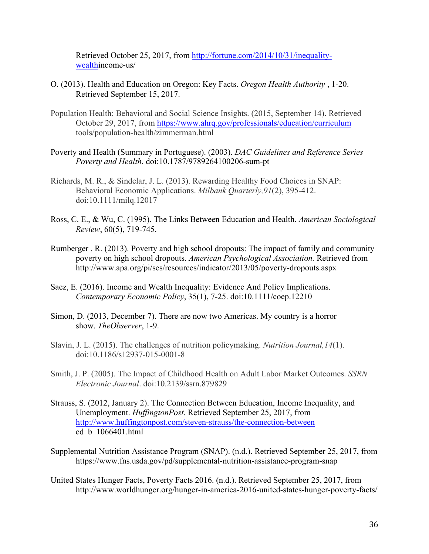Retrieved October 25, 2017, from http://fortune.com/2014/10/31/inequalitywealthincome-us/

- O. (2013). Health and Education on Oregon: Key Facts. *Oregon Health Authority* , 1-20. Retrieved September 15, 2017.
- Population Health: Behavioral and Social Science Insights. (2015, September 14). Retrieved October 29, 2017, from https://www.ahrq.gov/professionals/education/curriculum tools/population-health/zimmerman.html
- Poverty and Health (Summary in Portuguese). (2003). *DAC Guidelines and Reference Series Poverty and Health*. doi:10.1787/9789264100206-sum-pt
- Richards, M. R., & Sindelar, J. L. (2013). Rewarding Healthy Food Choices in SNAP: Behavioral Economic Applications. *Milbank Quarterly,91*(2), 395-412. doi:10.1111/milq.12017
- Ross, C. E., & Wu, C. (1995). The Links Between Education and Health. *American Sociological Review*, 60(5), 719-745.
- Rumberger , R. (2013). Poverty and high school dropouts: The impact of family and community poverty on high school dropouts. *American Psychological Association.* Retrieved from http://www.apa.org/pi/ses/resources/indicator/2013/05/poverty-dropouts.aspx
- Saez, E. (2016). Income and Wealth Inequality: Evidence And Policy Implications. *Contemporary Economic Policy*, 35(1), 7-25. doi:10.1111/coep.12210
- Simon, D. (2013, December 7). There are now two Americas. My country is a horror show. *TheObserver*, 1-9.
- Slavin, J. L. (2015). The challenges of nutrition policymaking. *Nutrition Journal,14*(1). doi:10.1186/s12937-015-0001-8
- Smith, J. P. (2005). The Impact of Childhood Health on Adult Labor Market Outcomes. *SSRN Electronic Journal*. doi:10.2139/ssrn.879829
- Strauss, S. (2012, January 2). The Connection Between Education, Income Inequality, and Unemployment. *HuffingtonPost*. Retrieved September 25, 2017, from http://www.huffingtonpost.com/steven-strauss/the-connection-between ed\_b\_1066401.html
- Supplemental Nutrition Assistance Program (SNAP). (n.d.). Retrieved September 25, 2017, from https://www.fns.usda.gov/pd/supplemental-nutrition-assistance-program-snap
- United States Hunger Facts, Poverty Facts 2016. (n.d.). Retrieved September 25, 2017, from http://www.worldhunger.org/hunger-in-america-2016-united-states-hunger-poverty-facts/